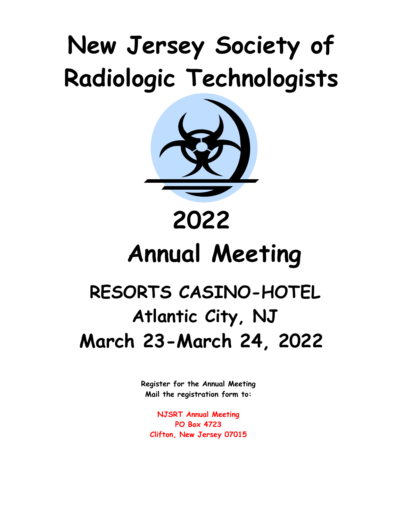## **New Jersey Society of Radiologic Technologists**



# **Annual Meeting**

### **RESORTS CASINO-HOTEL Atlantic City, NJ March 23-March 24, 2022**

**Register for the Annual Meeting Mail the registration form to:**

**NJSRT Annual Meeting PO Box 4723 Clifton, New Jersey 07015**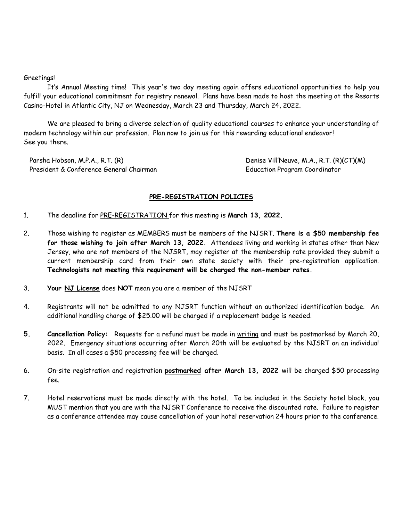#### Greetings!

It's Annual Meeting time! This year's two day meeting again offers educational opportunities to help you fulfill your educational commitment for registry renewal. Plans have been made to host the meeting at the Resorts Casino-Hotel in Atlantic City, NJ on Wednesday, March 23 and Thursday, March 24, 2022.

We are pleased to bring a diverse selection of quality educational courses to enhance your understanding of modern technology within our profession. Plan now to join us for this rewarding educational endeavor! See you there.

 Parsha Hobson, M.P.A., R.T. (R) Denise Vill'Neuve, M.A., R.T. (R)(CT)(M) President & Conference General Chairman Freshitt Constanting Education Program Coordinator

#### **PRE-REGISTRATION POLICIES**

- 1. The deadline for PRE-REGISTRATION for this meeting is **March 13, 2022.**
- 2. Those wishing to register as MEMBERS must be members of the NJSRT. **There is a \$50 membership fee for those wishing to join after March 13, 2022.** Attendees living and working in states other than New Jersey, who are not members of the NJSRT, may register at the membership rate provided they submit a current membership card from their own state society with their pre-registration application. **Technologists not meeting this requirement will be charged the non-member rates.**
- 3. **Your NJ License** does **NOT** mean you are a member of the NJSRT
- 4. Registrants will not be admitted to any NJSRT function without an authorized identification badge. An additional handling charge of \$25.00 will be charged if a replacement badge is needed.
- **5. Cancellation Policy:** Requests for a refund must be made in writing and must be postmarked by March 20, 2022. Emergency situations occurring after March 20th will be evaluated by the NJSRT on an individual basis. In all cases a \$50 processing fee will be charged.
- 6. On-site registration and registration **postmarked after March 13, 2022** will be charged \$50 processing fee.
- 7. Hotel reservations must be made directly with the hotel. To be included in the Society hotel block, you MUST mention that you are with the NJSRT Conference to receive the discounted rate. Failure to register as a conference attendee may cause cancellation of your hotel reservation 24 hours prior to the conference.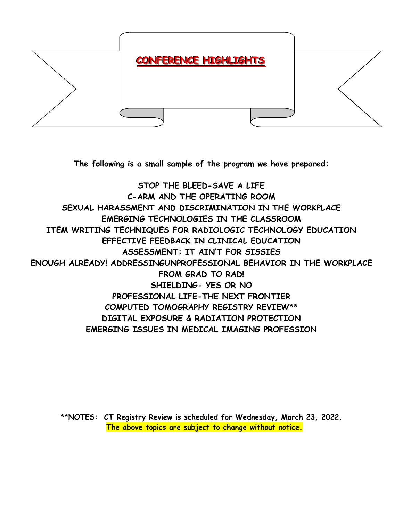

**The following is a small sample of the program we have prepared:**

**STOP THE BLEED-SAVE A LIFE C-ARM AND THE OPERATING ROOM SEXUAL HARASSMENT AND DISCRIMINATION IN THE WORKPLACE EMERGING TECHNOLOGIES IN THE CLASSROOM ITEM WRITING TECHNIQUES FOR RADIOLOGIC TECHNOLOGY EDUCATION EFFECTIVE FEEDBACK IN CLINICAL EDUCATION ASSESSMENT: IT AIN'T FOR SISSIES ENOUGH ALREADY! ADDRESSINGUNPROFESSIONAL BEHAVIOR IN THE WORKPLACE FROM GRAD TO RAD! SHIELDING- YES OR NO PROFESSIONAL LIFE-THE NEXT FRONTIER COMPUTED TOMOGRAPHY REGISTRY REVIEW\*\* DIGITAL EXPOSURE & RADIATION PROTECTION EMERGING ISSUES IN MEDICAL IMAGING PROFESSION**

**\*\*NOTES: CT Registry Review is scheduled for Wednesday, March 23, 2022. The above topics are subject to change without notice.**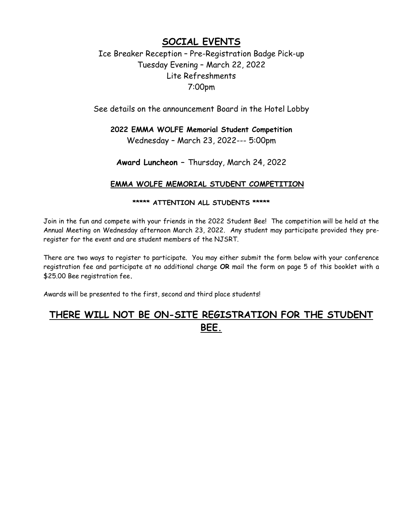#### **SOCIAL EVENTS**

#### Ice Breaker Reception – Pre-Registration Badge Pick-up Tuesday Evening – March 22, 2022 Lite Refreshments 7:00pm

See details on the announcement Board in the Hotel Lobby

#### **2022 EMMA WOLFE Memorial Student Competition** Wednesday – March 23, 2022--- 5:00pm

**Award Luncheon –** Thursday, March 24, 2022

#### **EMMA WOLFE MEMORIAL STUDENT COMPETITION**

#### **\*\*\*\*\* ATTENTION ALL STUDENTS \*\*\*\*\***

Join in the fun and compete with your friends in the 2022 Student Bee! The competition will be held at the Annual Meeting on Wednesday afternoon March 23, 2022. Any student may participate provided they preregister for the event and are student members of the NJSRT.

There are two ways to register to participate. You may either submit the form below with your conference registration fee and participate at no additional charge **OR** mail the form on page 5 of this booklet with a \$25.00 Bee registration fee**.** 

Awards will be presented to the first, second and third place students!

#### **THERE WILL NOT BE ON-SITE REGISTRATION FOR THE STUDENT BEE.**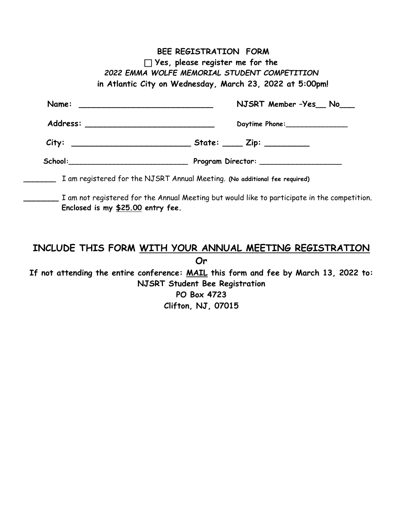|                                                                                                                                                                                                                                | NJSRT Member -Yes No |
|--------------------------------------------------------------------------------------------------------------------------------------------------------------------------------------------------------------------------------|----------------------|
|                                                                                                                                                                                                                                | Daytime Phone:       |
|                                                                                                                                                                                                                                |                      |
| School: and the state of the state of the state of the state of the state of the state of the state of the state of the state of the state of the state of the state of the state of the state of the state of the state of th |                      |

#### **INCLUDE THIS FORM WITH YOUR ANNUAL MEETING REGISTRATION**

**Or**

**If not attending the entire conference: MAIL this form and fee by March 13, 2022 to: NJSRT Student Bee Registration PO Box 4723 Clifton, NJ, 07015**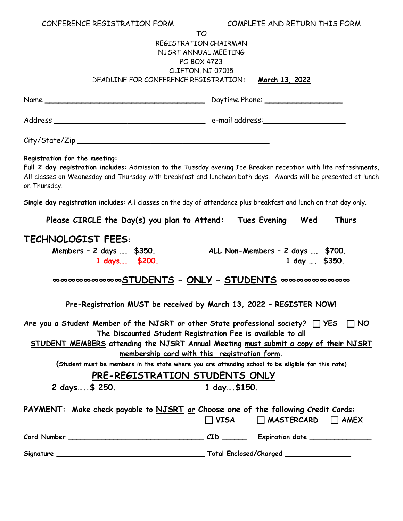| CONFERENCE REGISTRATION FORM                                                                                                                                                                                                                                                                                                                                                                                 | COMPLETE AND RETURN THIS FORM                     |  |  |  |
|--------------------------------------------------------------------------------------------------------------------------------------------------------------------------------------------------------------------------------------------------------------------------------------------------------------------------------------------------------------------------------------------------------------|---------------------------------------------------|--|--|--|
| TO                                                                                                                                                                                                                                                                                                                                                                                                           |                                                   |  |  |  |
| REGISTRATION CHAIRMAN                                                                                                                                                                                                                                                                                                                                                                                        |                                                   |  |  |  |
| NJSRT ANNUAL MEETING<br><b>PO BOX 4723</b>                                                                                                                                                                                                                                                                                                                                                                   |                                                   |  |  |  |
| CLIFTON, NJ 07015                                                                                                                                                                                                                                                                                                                                                                                            |                                                   |  |  |  |
| DEADLINE FOR CONFERENCE REGISTRATION:                                                                                                                                                                                                                                                                                                                                                                        | <u>March 13, 2022</u>                             |  |  |  |
|                                                                                                                                                                                                                                                                                                                                                                                                              |                                                   |  |  |  |
|                                                                                                                                                                                                                                                                                                                                                                                                              |                                                   |  |  |  |
|                                                                                                                                                                                                                                                                                                                                                                                                              |                                                   |  |  |  |
|                                                                                                                                                                                                                                                                                                                                                                                                              |                                                   |  |  |  |
|                                                                                                                                                                                                                                                                                                                                                                                                              |                                                   |  |  |  |
|                                                                                                                                                                                                                                                                                                                                                                                                              |                                                   |  |  |  |
| Registration for the meeting:<br>Full 2 day registration includes: Admission to the Tuesday evening Ice Breaker reception with lite refreshments,<br>All classes on Wednesday and Thursday with breakfast and luncheon both days. Awards will be presented at lunch<br>on Thursday.                                                                                                                          |                                                   |  |  |  |
| Single day registration includes: All classes on the day of attendance plus breakfast and lunch on that day only.                                                                                                                                                                                                                                                                                            |                                                   |  |  |  |
| Please CIRCLE the Day(s) you plan to Attend: Tues Evening Wed                                                                                                                                                                                                                                                                                                                                                | Thurs                                             |  |  |  |
| <b>TECHNOLOGIST FEES:</b><br>Members - 2 days  \$350.<br>1 days \$200.                                                                                                                                                                                                                                                                                                                                       | ALL Non-Members - 2 days  \$700.<br>1 day  \$350. |  |  |  |
| ๛๛๛๛๛๛๛๛ <u>STUDENTS - ONLY - STUDENTS</u> ๛๛๛๛๛๛๛๛๛                                                                                                                                                                                                                                                                                                                                                         |                                                   |  |  |  |
| Pre-Registration MUST be received by March 13, 2022 - REGISTER NOW!                                                                                                                                                                                                                                                                                                                                          |                                                   |  |  |  |
| Are you a Student Member of the NJSRT or other State professional society? $\Box$ YES $\Box$ NO<br>The Discounted Student Registration Fee is available to all<br>STUDENT MEMBERS attending the NJSRT Annual Meeting must submit a copy of their NJSRT<br>membership card with this registration form.<br>(Student must be members in the state where you are attending school to be eligible for this rate) |                                                   |  |  |  |
|                                                                                                                                                                                                                                                                                                                                                                                                              |                                                   |  |  |  |
| PRE-REGISTRATION STUDENTS ONLY                                                                                                                                                                                                                                                                                                                                                                               |                                                   |  |  |  |
| 2 days\$ 250.                                                                                                                                                                                                                                                                                                                                                                                                | $1$ day, \$150.                                   |  |  |  |
| PAYMENT: Make check payable to NJSRT or Choose one of the following Credit Cards:                                                                                                                                                                                                                                                                                                                            | $\Box$ VISA $\Box$ MASTERCARD $\Box$ AMEX         |  |  |  |
|                                                                                                                                                                                                                                                                                                                                                                                                              |                                                   |  |  |  |
|                                                                                                                                                                                                                                                                                                                                                                                                              |                                                   |  |  |  |
|                                                                                                                                                                                                                                                                                                                                                                                                              |                                                   |  |  |  |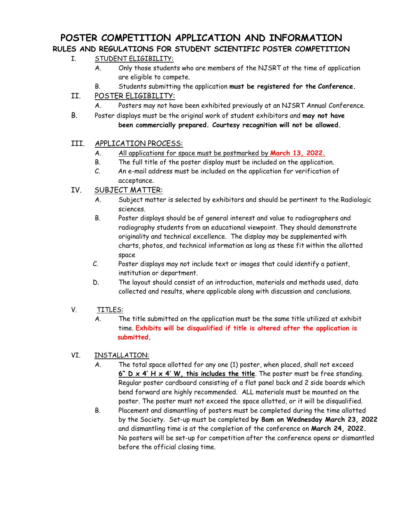#### **POSTER COMPETITION APPLICATION AND INFORMATION RULES AND REGULATIONS FOR STUDENT SCIENTIFIC POSTER COMPETITION**

#### I. STUDENT ELIGIBILITY:

- A. Only those students who are members of the NJSRT at the time of application are eligible to compete.
- B. Students submitting the application **must be registered for the Conference.**

#### II. POSTER ELIGIBILITY:

- A. Posters may not have been exhibited previously at an NJSRT Annual Conference.
- B. Poster displays must be the original work of student exhibitors and **may not have been commercially prepared. Courtesy recognition will not be allowed.**

#### III. APPLICATION PROCESS:

- A. All applications for space must be postmarked by **March 13, 2022.**
- B. The full title of the poster display must be included on the application.
- C. An e-mail address must be included on the application for verification of acceptance.

#### IV. SUBJECT MATTER:

- A. Subject matter is selected by exhibitors and should be pertinent to the Radiologic sciences.
- B. Poster displays should be of general interest and value to radiographers and radiography students from an educational viewpoint. They should demonstrate originality and technical excellence. The display may be supplemented with charts, photos, and technical information as long as these fit within the allotted space
- C. Poster displays may not include text or images that could identify a patient, institution or department.
- D. The layout should consist of an introduction, materials and methods used, data collected and results, where applicable along with discussion and conclusions.

#### V. TITLES:

 A. The title submitted on the application must be the same title utilized at exhibit time. **Exhibits will be disqualified if title is altered after the application is submitted.**

#### VI. INSTALLATION:

- A. The total space allotted for any one (1) poster, when placed, shall not exceed **6" D x 4' H x 4' W, this includes the title**. The poster must be free standing. Regular poster cardboard consisting of a flat panel back and 2 side boards which bend forward are highly recommended. ALL materials must be mounted on the poster. The poster must not exceed the space allotted, or it will be disqualified.
- B. Placement and dismantling of posters must be completed during the time allotted by the Society. Set-up must be completed **by 8am on Wednesday March 23, 2022** and dismantling time is at the completion of the conference on **March 24, 2022.** No posters will be set-up for competition after the conference opens or dismantled before the official closing time.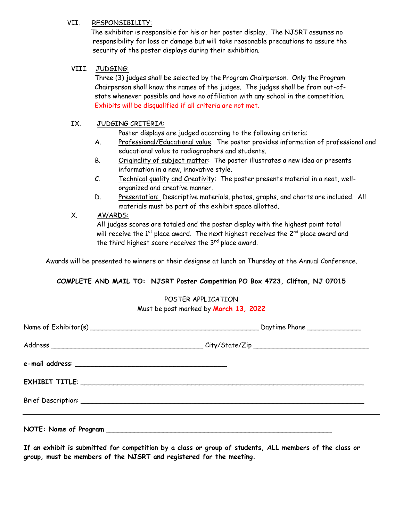#### VII. RESPONSIBILITY:

 The exhibitor is responsible for his or her poster display. The NJSRT assumes no responsibility for loss or damage but will take reasonable precautions to assure the security of the poster displays during their exhibition.

#### VIII. JUDGING:

 Three (3) judges shall be selected by the Program Chairperson. Only the Program Chairperson shall know the names of the judges. The judges shall be from out-ofstate whenever possible and have no affiliation with any school in the competition. Exhibits will be disqualified if all criteria are not met.

#### IX. JUDGING CRITERIA:

Poster displays are judged according to the following criteria:

- A. Professional/Educational value. The poster provides information of professional and educational value to radiographers and students.
- B. Originality of subject matter: The poster illustrates a new idea or presents information in a new, innovative style.
- C. Technical quality and Creativity: The poster presents material in a neat, well organized and creative manner.
- D. Presentation: Descriptive materials, photos, graphs, and charts are included. All materials must be part of the exhibit space allotted.

#### X. AWARDS:

 All judges scores are totaled and the poster display with the highest point total will receive the  $1<sup>st</sup>$  place award. The next highest receives the  $2<sup>nd</sup>$  place award and the third highest score receives the  $3<sup>rd</sup>$  place award.

Awards will be presented to winners or their designee at lunch on Thursday at the Annual Conference.

#### **COMPLETE AND MAIL TO: NJSRT Poster Competition PO Box 4723, Clifton, NJ 07015**

#### POSTER APPLICATION Must be post marked by **March 13, 2022**

**If an exhibit is submitted for competition by a class or group of students, ALL members of the class or group, must be members of the NJSRT and registered for the meeting.**